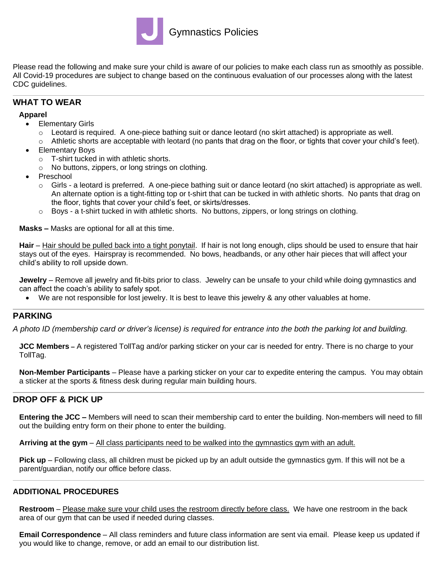

Please read the following and make sure your child is aware of our policies to make each class run as smoothly as possible. All Covid-19 procedures are subject to change based on the continuous evaluation of our processes along with the latest CDC guidelines.

# **WHAT TO WEAR**

#### **Apparel**

- Elementary Girls
	- o Leotard is required. A one-piece bathing suit or dance leotard (no skirt attached) is appropriate as well.
	- $\circ$  Athletic shorts are acceptable with leotard (no pants that drag on the floor, or tights that cover your child's feet).
- Elementary Boys
	- o T-shirt tucked in with athletic shorts.
	- o No buttons, zippers, or long strings on clothing.
- **Preschool** 
	- $\circ$  Girls a leotard is preferred. A one-piece bathing suit or dance leotard (no skirt attached) is appropriate as well. An alternate option is a tight-fitting top or t-shirt that can be tucked in with athletic shorts. No pants that drag on the floor, tights that cover your child's feet, or skirts/dresses.
	- $\circ$  Boys a t-shirt tucked in with athletic shorts. No buttons, zippers, or long strings on clothing.

**Masks –** Masks are optional for all at this time.

**Hair** – Hair should be pulled back into a tight ponytail. If hair is not long enough, clips should be used to ensure that hair stays out of the eyes. Hairspray is recommended. No bows, headbands, or any other hair pieces that will affect your child's ability to roll upside down.

**Jewelry** – Remove all jewelry and fit-bits prior to class. Jewelry can be unsafe to your child while doing gymnastics and can affect the coach's ability to safely spot.

• We are not responsible for lost jewelry. It is best to leave this jewelry & any other valuables at home.

# **PARKING**

*A photo ID (membership card or driver's license) is required for entrance into the both the parking lot and building.* 

**JCC Members –** A registered TollTag and/or parking sticker on your car is needed for entry. There is no charge to your TollTag.

**Non-Member Participants** – Please have a parking sticker on your car to expedite entering the campus. You may obtain a sticker at the sports & fitness desk during regular main building hours.

# **DROP OFF & PICK UP**

**Entering the JCC –** Members will need to scan their membership card to enter the building. Non-members will need to fill out the building entry form on their phone to enter the building.

**Arriving at the gym** – All class participants need to be walked into the gymnastics gym with an adult.

**Pick up** – Following class, all children must be picked up by an adult outside the gymnastics gym. If this will not be a parent/guardian, notify our office before class.

# **ADDITIONAL PROCEDURES**

**Restroom** – Please make sure your child uses the restroom directly before class. We have one restroom in the back area of our gym that can be used if needed during classes.

**Email Correspondence** – All class reminders and future class information are sent via email. Please keep us updated if you would like to change, remove, or add an email to our distribution list.